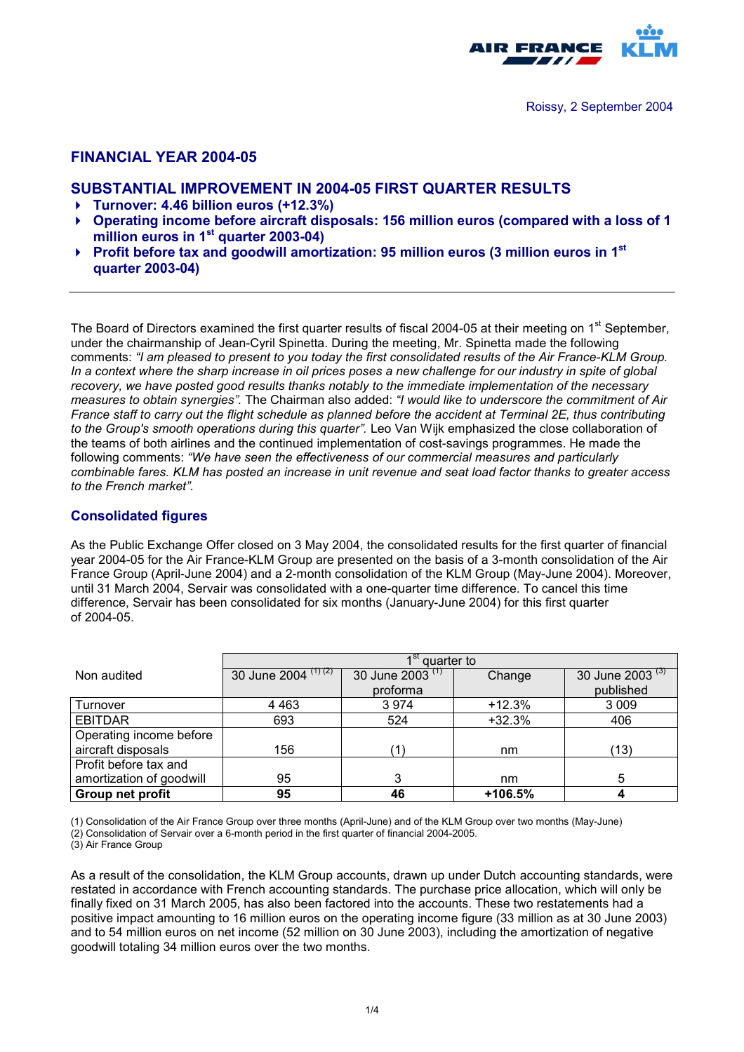

# **FINANCIAL YEAR 2004-05**

# **SUBSTANTIAL IMPROVEMENT IN 2004-05 FIRST QUARTER RESULTS**

- -**Turnover: 4.46 billion euros (+12.3%)**
- **Operating income before aircraft disposals: 156 million euros (compared with a loss of 1 million euros in 1st quarter 2003-04)**
- ▶ Profit before tax and goodwill amortization: 95 million euros (3 million euros in 1<sup>st</sup> **quarter 2003-04)**

The Board of Directors examined the first quarter results of fiscal 2004-05 at their meeting on 1<sup>st</sup> September, under the chairmanship of Jean-Cyril Spinetta. During the meeting, Mr. Spinetta made the following comments: *"I am pleased to present to you today the first consolidated results of the Air France-KLM Group. In a context where the sharp increase in oil prices poses a new challenge for our industry in spite of global recovery, we have posted good results thanks notably to the immediate implementation of the necessary measures to obtain synergies".* The Chairman also added: *"I would like to underscore the commitment of Air France staff to carry out the flight schedule as planned before the accident at Terminal 2E, thus contributing to the Group's smooth operations during this quarter".* Leo Van Wijk emphasized the close collaboration of the teams of both airlines and the continued implementation of cost-savings programmes. He made the following comments: *"We have seen the effectiveness of our commercial measures and particularly combinable fares. KLM has posted an increase in unit revenue and seat load factor thanks to greater access to the French market".*

### **Consolidated figures**

As the Public Exchange Offer closed on 3 May 2004, the consolidated results for the first quarter of financial year 2004-05 for the Air France-KLM Group are presented on the basis of a 3-month consolidation of the Air France Group (April-June 2004) and a 2-month consolidation of the KLM Group (May-June 2004). Moreover, until 31 March 2004, Servair was consolidated with a one-quarter time difference. To cancel this time difference, Servair has been consolidated for six months (January-June 2004) for this first quarter of 2004-05.

|                          | $\overline{1}^{\text{st}}$ quarter to |                             |          |                             |  |
|--------------------------|---------------------------------------|-----------------------------|----------|-----------------------------|--|
| Non audited              | 30 June 2004 $(1)(2)$                 | 30 June 2003 <sup>(1)</sup> | Change   | 30 June 2003 <sup>(3)</sup> |  |
|                          |                                       | proforma                    |          | published                   |  |
| Turnover                 | 4 4 6 3                               | 3974                        | $+12.3%$ | 3 0 0 9                     |  |
| <b>EBITDAR</b>           | 693                                   | 524                         | $+32.3%$ | 406                         |  |
| Operating income before  |                                       |                             |          |                             |  |
| aircraft disposals       | 156                                   | ′1`                         | nm       | (13)                        |  |
| Profit before tax and    |                                       |                             |          |                             |  |
| amortization of goodwill | 95                                    | 3                           | nm       | 5                           |  |
| Group net profit         | 95                                    | 46                          | +106.5%  |                             |  |

(1) Consolidation of the Air France Group over three months (April-June) and of the KLM Group over two months (May-June)

(2) Consolidation of Servair over a 6-month period in the first quarter of financial 2004-2005.

(3) Air France Group

As a result of the consolidation, the KLM Group accounts, drawn up under Dutch accounting standards, were restated in accordance with French accounting standards. The purchase price allocation, which will only be finally fixed on 31 March 2005, has also been factored into the accounts. These two restatements had a positive impact amounting to 16 million euros on the operating income figure (33 million as at 30 June 2003) and to 54 million euros on net income (52 million on 30 June 2003), including the amortization of negative goodwill totaling 34 million euros over the two months.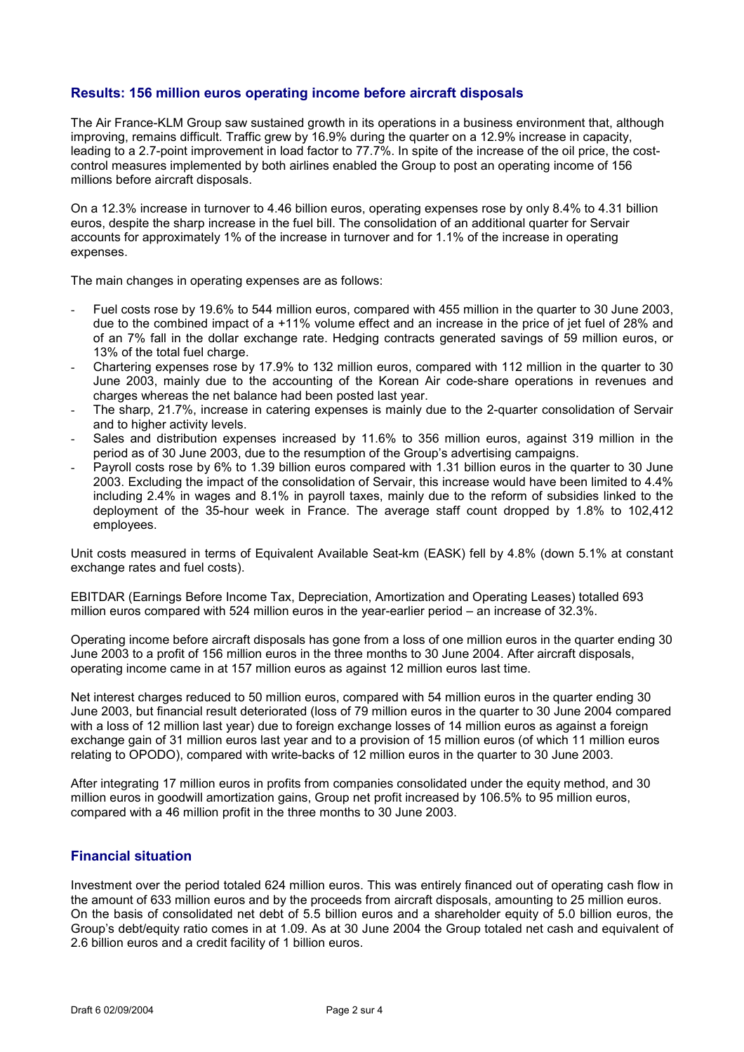# **Results: 156 million euros operating income before aircraft disposals**

The Air France-KLM Group saw sustained growth in its operations in a business environment that, although improving, remains difficult. Traffic grew by 16.9% during the quarter on a 12.9% increase in capacity, leading to a 2.7-point improvement in load factor to 77.7%. In spite of the increase of the oil price, the costcontrol measures implemented by both airlines enabled the Group to post an operating income of 156 millions before aircraft disposals.

On a 12.3% increase in turnover to 4.46 billion euros, operating expenses rose by only 8.4% to 4.31 billion euros, despite the sharp increase in the fuel bill. The consolidation of an additional quarter for Servair accounts for approximately 1% of the increase in turnover and for 1.1% of the increase in operating expenses.

The main changes in operating expenses are as follows:

- Fuel costs rose by 19.6% to 544 million euros, compared with 455 million in the quarter to 30 June 2003. due to the combined impact of a +11% volume effect and an increase in the price of jet fuel of 28% and of an 7% fall in the dollar exchange rate. Hedging contracts generated savings of 59 million euros, or 13% of the total fuel charge.
- Chartering expenses rose by 17.9% to 132 million euros, compared with 112 million in the quarter to 30 June 2003, mainly due to the accounting of the Korean Air code-share operations in revenues and charges whereas the net balance had been posted last year.
- The sharp, 21.7%, increase in catering expenses is mainly due to the 2-quarter consolidation of Servair and to higher activity levels.
- Sales and distribution expenses increased by 11.6% to 356 million euros, against 319 million in the period as of 30 June 2003, due to the resumption of the Group's advertising campaigns.
- Payroll costs rose by 6% to 1.39 billion euros compared with 1.31 billion euros in the quarter to 30 June 2003. Excluding the impact of the consolidation of Servair, this increase would have been limited to 4.4% including 2.4% in wages and 8.1% in payroll taxes, mainly due to the reform of subsidies linked to the deployment of the 35-hour week in France. The average staff count dropped by 1.8% to 102,412 employees.

Unit costs measured in terms of Equivalent Available Seat-km (EASK) fell by 4.8% (down 5.1% at constant exchange rates and fuel costs).

EBITDAR (Earnings Before Income Tax, Depreciation, Amortization and Operating Leases) totalled 693 million euros compared with 524 million euros in the year-earlier period – an increase of 32.3%.

Operating income before aircraft disposals has gone from a loss of one million euros in the quarter ending 30 June 2003 to a profit of 156 million euros in the three months to 30 June 2004. After aircraft disposals, operating income came in at 157 million euros as against 12 million euros last time.

Net interest charges reduced to 50 million euros, compared with 54 million euros in the quarter ending 30 June 2003, but financial result deteriorated (loss of 79 million euros in the quarter to 30 June 2004 compared with a loss of 12 million last year) due to foreign exchange losses of 14 million euros as against a foreign exchange gain of 31 million euros last year and to a provision of 15 million euros (of which 11 million euros relating to OPODO), compared with write-backs of 12 million euros in the quarter to 30 June 2003.

After integrating 17 million euros in profits from companies consolidated under the equity method, and 30 million euros in goodwill amortization gains, Group net profit increased by 106.5% to 95 million euros, compared with a 46 million profit in the three months to 30 June 2003.

# **Financial situation**

Investment over the period totaled 624 million euros. This was entirely financed out of operating cash flow in the amount of 633 million euros and by the proceeds from aircraft disposals, amounting to 25 million euros. On the basis of consolidated net debt of 5.5 billion euros and a shareholder equity of 5.0 billion euros, the Group's debt/equity ratio comes in at 1.09. As at 30 June 2004 the Group totaled net cash and equivalent of 2.6 billion euros and a credit facility of 1 billion euros.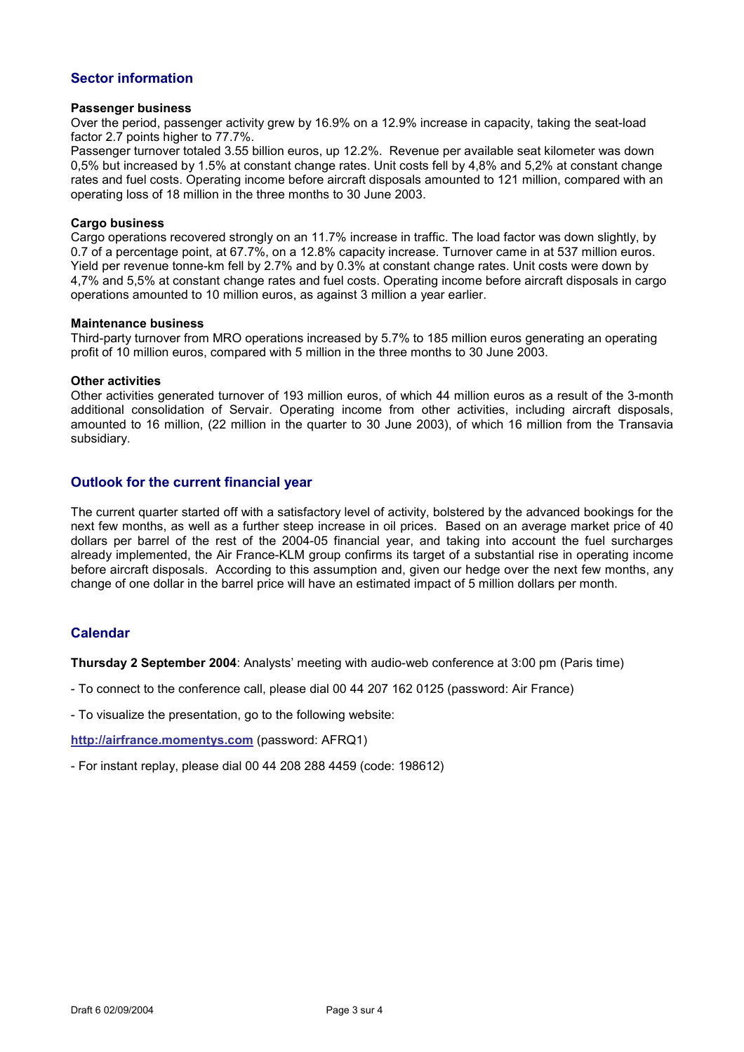# **Sector information**

#### **Passenger business**

Over the period, passenger activity grew by 16.9% on a 12.9% increase in capacity, taking the seat-load factor 2.7 points higher to 77.7%.

Passenger turnover totaled 3.55 billion euros, up 12.2%. Revenue per available seat kilometer was down 0,5% but increased by 1.5% at constant change rates. Unit costs fell by 4,8% and 5,2% at constant change rates and fuel costs. Operating income before aircraft disposals amounted to 121 million, compared with an operating loss of 18 million in the three months to 30 June 2003.

#### **Cargo business**

Cargo operations recovered strongly on an 11.7% increase in traffic. The load factor was down slightly, by 0.7 of a percentage point, at 67.7%, on a 12.8% capacity increase. Turnover came in at 537 million euros. Yield per revenue tonne-km fell by 2.7% and by 0.3% at constant change rates. Unit costs were down by 4,7% and 5,5% at constant change rates and fuel costs. Operating income before aircraft disposals in cargo operations amounted to 10 million euros, as against 3 million a year earlier.

#### **Maintenance business**

Third-party turnover from MRO operations increased by 5.7% to 185 million euros generating an operating profit of 10 million euros, compared with 5 million in the three months to 30 June 2003.

#### **Other activities**

Other activities generated turnover of 193 million euros, of which 44 million euros as a result of the 3-month additional consolidation of Servair. Operating income from other activities, including aircraft disposals, amounted to 16 million, (22 million in the quarter to 30 June 2003), of which 16 million from the Transavia subsidiary.

# **Outlook for the current financial year**

The current quarter started off with a satisfactory level of activity, bolstered by the advanced bookings for the next few months, as well as a further steep increase in oil prices. Based on an average market price of 40 dollars per barrel of the rest of the 2004-05 financial year, and taking into account the fuel surcharges already implemented, the Air France-KLM group confirms its target of a substantial rise in operating income before aircraft disposals. According to this assumption and, given our hedge over the next few months, any change of one dollar in the barrel price will have an estimated impact of 5 million dollars per month.

# **Calendar**

**Thursday 2 September 2004**: Analysts' meeting with audio-web conference at 3:00 pm (Paris time)

- To connect to the conference call, please dial 00 44 207 162 0125 (password: Air France)

- To visualize the presentation, go to the following website:

**[http://airfrance.momentys.com](http://airfrance-q3.momentys.com/)** (password: AFRQ1)

- For instant replay, please dial 00 44 208 288 4459 (code: 198612)